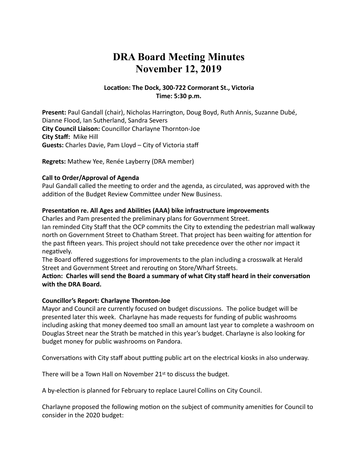# **DRA Board Meeting Minutes November 12, 2019**

# Location: The Dock, 300-722 Cormorant St., Victoria **Time: 5:30 p.m.**

Present: Paul Gandall (chair), Nicholas Harrington, Doug Boyd, Ruth Annis, Suzanne Dubé, Dianne Flood, Ian Sutherland, Sandra Severs **City Council Liaison:** Councillor Charlayne Thornton-Joe **City Staff: Mike Hill Guests:** Charles Davie, Pam Lloyd – City of Victoria staff

**Regrets:** Mathew Yee, Renée Layberry (DRA member)

### **Call to Order/Approval of Agenda**

Paul Gandall called the meeting to order and the agenda, as circulated, was approved with the addition of the Budget Review Committee under New Business.

### Presentation re. All Ages and Abilities (AAA) bike infrastructure improvements

Charles and Pam presented the preliminary plans for Government Street.

Ian reminded City Staff that the OCP commits the City to extending the pedestrian mall walkway north on Government Street to Chatham Street. That project has been waiting for attention for the past fifteen years. This project should not take precedence over the other nor impact it negatively.

The Board offered suggestions for improvements to the plan including a crosswalk at Herald Street and Government Street and rerouting on Store/Wharf Streets.

# Action: Charles will send the Board a summary of what City staff heard in their conversation with the DRA Board.

### **Councillor's Report: Charlayne Thornton-Joe**

Mayor and Council are currently focused on budget discussions. The police budget will be presented later this week. Charlayne has made requests for funding of public washrooms including asking that money deemed too small an amount last year to complete a washroom on Douglas Street near the Strath be matched in this year's budget. Charlayne is also looking for budget money for public washrooms on Pandora.

Conversations with City staff about putting public art on the electrical kiosks in also underway.

There will be a Town Hall on November  $21<sup>st</sup>$  to discuss the budget.

A by-election is planned for February to replace Laurel Collins on City Council.

Charlayne proposed the following motion on the subject of community amenities for Council to consider in the 2020 budget: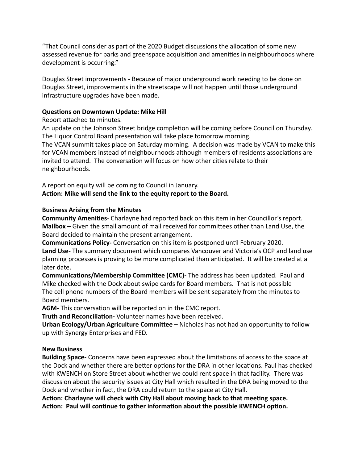"That Council consider as part of the 2020 Budget discussions the allocation of some new assessed revenue for parks and greenspace acquisition and amenities in neighbourhoods where development is occurring."

Douglas Street improvements - Because of major underground work needing to be done on Douglas Street, improvements in the streetscape will not happen until those underground infrastructure upgrades have been made.

### **Questions on Downtown Update: Mike Hill**

# Report attached to minutes.

An update on the Johnson Street bridge completion will be coming before Council on Thursday. The Liquor Control Board presentation will take place tomorrow morning. The VCAN summit takes place on Saturday morning. A decision was made by VCAN to make this

for VCAN members instead of neighbourhoods although members of residents associations are invited to attend. The conversation will focus on how other cities relate to their neighbourhoods. 

A report on equity will be coming to Council in January. Action: Mike will send the link to the equity report to the Board.

# **Business Arising from the Minutes**

**Community Amenities**- Charlayne had reported back on this item in her Councillor's report. **Mailbox** – Given the small amount of mail received for committees other than Land Use, the Board decided to maintain the present arrangement.

**Communications Policy-** Conversation on this item is postponed until February 2020. Land Use- The summary document which compares Vancouver and Victoria's OCP and land use planning processes is proving to be more complicated than anticipated. It will be created at a later date.

**Communications/Membership Committee (CMC)**- The address has been updated. Paul and Mike checked with the Dock about swipe cards for Board members. That is not possible The cell phone numbers of the Board members will be sent separately from the minutes to Board members.

**AGM-** This conversation will be reported on in the CMC report.

**Truth and Reconciliation-** Volunteer names have been received.

**Urban Ecology/Urban Agriculture Committee** – Nicholas has not had an opportunity to follow up with Synergy Enterprises and FED.

# **New Business**

**Building Space-** Concerns have been expressed about the limitations of access to the space at the Dock and whether there are better options for the DRA in other locations. Paul has checked with KWENCH on Store Street about whether we could rent space in that facility. There was discussion about the security issues at City Hall which resulted in the DRA being moved to the Dock and whether in fact, the DRA could return to the space at City Hall.

Action: Charlayne will check with City Hall about moving back to that meeting space. Action: Paul will continue to gather information about the possible KWENCH option.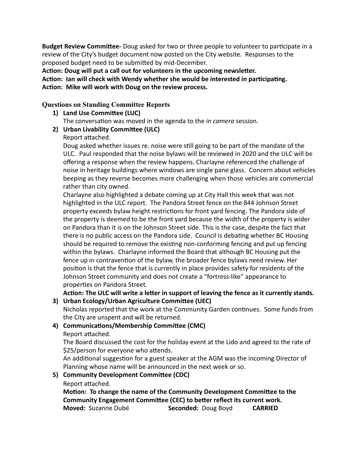**Budget Review Committee-** Doug asked for two or three people to volunteer to participate in a review of the City's budget document now posted on the City website. Responses to the proposed budget need to be submitted by mid-December.

Action: Doug will put a call out for volunteers in the upcoming newsletter.

Action: Ian will check with Wendy whether she would be interested in participating. Action: Mike will work with Doug on the review process.

# **Questions on Standing Committee Reports**

**1)** Land Use Committee (LUC)

The conversation was moved in the agenda to the *in camera* session.

- **2)** Urban Livability Committee (ULC)
	- Report attached.

Doug asked whether issues re. noise were still going to be part of the mandate of the ULC. Paul responded that the noise bylaws will be reviewed in 2020 and the ULC will be offering a response when the review happens. Charlayne referenced the challenge of noise in heritage buildings where windows are single pane glass. Concern about vehicles beeping as they reverse becomes more challenging when those vehicles are commercial rather than city owned.

Charlayne also highlighted a debate coming up at City Hall this week that was not highlighted in the ULC report. The Pandora Street fence on the 844 Johnson Street property exceeds bylaw height restrictions for front yard fencing. The Pandora side of the property is deemed to be the front yard because the width of the property is wider on Pandora than it is on the Johnson Street side. This is the case, despite the fact that there is no public access on the Pandora side. Council is debating whether BC Housing should be required to remove the existing non-conforming fencing and put up fencing within the bylaws. Charlayne informed the Board that although BC Housing put the fence up in contravention of the bylaw, the broader fence bylaws need review. Her position is that the fence that is currently in place provides safety for residents of the Johnson Street community and does not create a "fortress-like" appearance to properties on Pandora Street.

Action: The ULC will write a letter in support of leaving the fence as it currently stands.

**3)** Urban Ecology/Urban Agriculture Committee (UEC)

Nicholas reported that the work at the Community Garden continues. Some funds from the City are unspent and will be returned.

4) **Communications/Membership Committee (CMC)** Report attached.

The Board discussed the cost for the holiday event at the Lido and agreed to the rate of \$25/person for everyone who attends.

An additional suggestion for a guest speaker at the AGM was the incoming Director of Planning whose name will be announced in the next week or so.

**5) Community Development Committee (CDC)** 

Report attached.

Motion: To change the name of the Community Development Committee to the Community Engagement Committee (CEC) to better reflect its current work. **Moved:** Suzanne Dubé **Seconded:** Doug Boyd **CARRIED**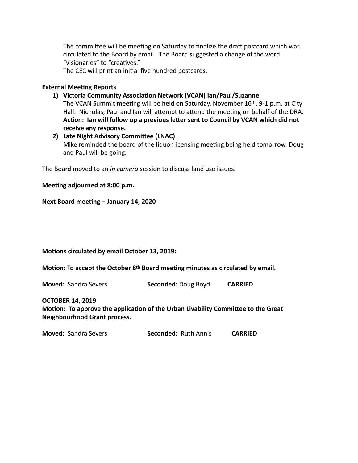The committee will be meeting on Saturday to finalize the draft postcard which was circulated to the Board by email. The Board suggested a change of the word "visionaries" to "creatives."

The CEC will print an initial five hundred postcards.

#### **External Meeting Reports**

1) Victoria Community Association Network (VCAN) Ian/Paul/Suzanne

The VCAN Summit meeting will be held on Saturday, November 16<sup>th</sup>, 9-1 p.m. at City Hall. Nicholas, Paul and Ian will attempt to attend the meeting on behalf of the DRA. Action: Ian will follow up a previous letter sent to Council by VCAN which did not receive any response.

#### **2)** Late Night Advisory Committee (LNAC)

Mike reminded the board of the liquor licensing meeting being held tomorrow. Doug and Paul will be going.

The Board moved to an *in camera* session to discuss land use issues.

#### **Meeting adjourned at 8:00 p.m.**

Next Board meeting - January 14, 2020

#### **Motions circulated by email October 13, 2019:**

Motion: To accept the October 8<sup>th</sup> Board meeting minutes as circulated by email.

**Moved:** Sandra Severs **Seconded:** Doug Boyd **CARRIED** 

#### **OCTOBER 14, 2019**

Motion: To approve the application of the Urban Livability Committee to the Great **Neighbourhood Grant process.**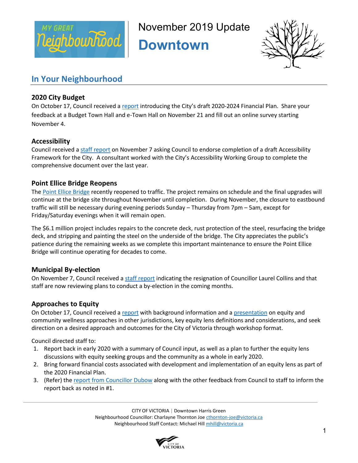

November 2019 Update

**Downtown** 



# **In Your Neighbourhood**

# **2020 City Budget**

On October 17, Council received a report introducing the City's draft 2020-2024 Financial Plan. Share your feedback at a Budget Town Hall and e-Town Hall on November 21 and fill out an online survey starting November 4.

# **Accessibility**

Council received a staff report on November 7 asking Council to endorse completion of a draft Accessibility Framework for the City. A consultant worked with the City's Accessibility Working Group to complete the comprehensive document over the last year.

# **Point Ellice Bridge Reopens**

The Point Ellice Bridge recently reopened to traffic. The project remains on schedule and the final upgrades will continue at the bridge site throughout November until completion. During November, the closure to eastbound traffic will still be necessary during evening periods Sunday – Thursday from 7pm – 5am, except for Friday/Saturday evenings when it will remain open.

The \$6.1 million project includes repairs to the concrete deck, rust protection of the steel, resurfacing the bridge deck, and stripping and painting the steel on the underside of the bridge. The City appreciates the public's patience during the remaining weeks as we complete this important maintenance to ensure the Point Ellice Bridge will continue operating for decades to come.

# **Municipal By-election**

On November 7, Council received a staff report indicating the resignation of Councillor Laurel Collins and that staff are now reviewing plans to conduct a by-election in the coming months.

# **Approaches to Equity**

On October 17, Council received a report with background information and a presentation on equity and community wellness approaches in other jurisdictions, key equity lens definitions and considerations, and seek direction on a desired approach and outcomes for the City of Victoria through workshop format.

Council directed staff to:

- 1. Report back in early 2020 with a summary of Council input, as well as a plan to further the equity lens discussions with equity seeking groups and the community as a whole in early 2020.
- 2. Bring forward financial costs associated with development and implementation of an equity lens as part of the 2020 Financial Plan.
- 3. (Refer) the report from Councillor Dubow along with the other feedback from Council to staff to inform the report back as noted in #1.

CITY OF VICTORIA | Downtown Harris Green Neighbourhood Councillor: Charlayne Thornton Joe cthornton-joe@victoria.ca Neighbourhood Staff Contact: Michael Hill mhill@victoria.ca

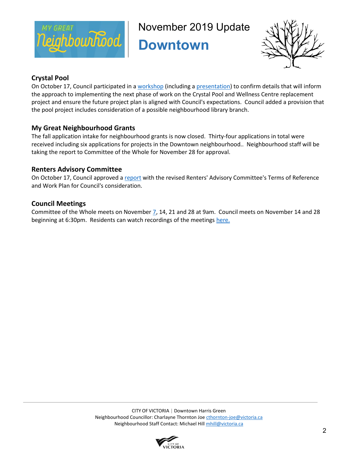

November 2019 Update

**Downtown** 



# **Crystal Pool**

On October 17, Council participated in a workshop (including a presentation) to confirm details that will inform the approach to implementing the next phase of work on the Crystal Pool and Wellness Centre replacement project and ensure the future project plan is aligned with Council's expectations. Council added a provision that the pool project includes consideration of a possible neighbourhood library branch.

# **My Great Neighbourhood Grants**

The fall application intake for neighbourhood grants is now closed. Thirty-four applications in total were received including six applications for projects in the Downtown neighbourhood.. Neighbourhood staff will be taking the report to Committee of the Whole for November 28 for approval.

# **Renters Advisory Committee**

On October 17, Council approved a report with the revised Renters' Advisory Committee's Terms of Reference and Work Plan for Council's consideration.

# **Council Meetings**

Committee of the Whole meets on November 7, 14, 21 and 28 at 9am. Council meets on November 14 and 28 beginning at 6:30pm. Residents can watch recordings of the meetings here.

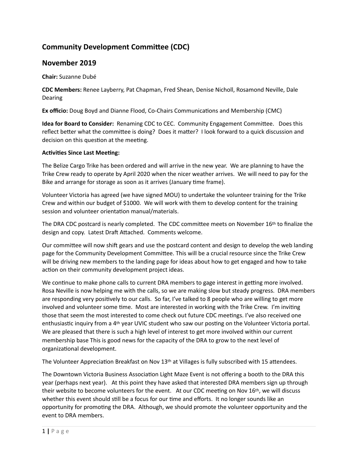# **Community Development Committee (CDC)**

# **November 2019**

**Chair:** Suzanne Dubé 

**CDC Members:** Renee Layberry, Pat Chapman, Fred Shean, Denise Nicholl, Rosamond Neville, Dale Dearing 

**Ex officio:** Doug Boyd and Dianne Flood, Co-Chairs Communications and Membership (CMC)

**Idea for Board to Consider:** Renaming CDC to CEC. Community Engagement Committee. Does this reflect better what the committee is doing? Does it matter? I look forward to a quick discussion and decision on this question at the meeting.

#### **Activities Since Last Meeting:**

The Belize Cargo Trike has been ordered and will arrive in the new year. We are planning to have the Trike Crew ready to operate by April 2020 when the nicer weather arrives. We will need to pay for the Bike and arrange for storage as soon as it arrives (January time frame).

Volunteer Victoria has agreed (we have signed MOU) to undertake the volunteer training for the Trike Crew and within our budget of \$1000. We will work with them to develop content for the training session and volunteer orientation manual/materials.

The DRA CDC postcard is nearly completed. The CDC committee meets on November 16th to finalize the design and copy. Latest Draft Attached. Comments welcome.

Our committee will now shift gears and use the postcard content and design to develop the web landing page for the Community Development Committee. This will be a crucial resource since the Trike Crew will be driving new members to the landing page for ideas about how to get engaged and how to take action on their community development project ideas.

We continue to make phone calls to current DRA members to gage interest in getting more involved. Rosa Neville is now helping me with the calls, so we are making slow but steady progress. DRA members are responding very positively to our calls. So far, I've talked to 8 people who are willing to get more involved and volunteer some time. Most are interested in working with the Trike Crew. I'm inviting those that seem the most interested to come check out future CDC meetings. I've also received one enthusiastic inquiry from a  $4<sup>th</sup>$  year UVIC student who saw our posting on the Volunteer Victoria portal. We are pleased that there is such a high level of interest to get more involved within our current membership base This is good news for the capacity of the DRA to grow to the next level of organizational development.

The Volunteer Appreciation Breakfast on Nov 13<sup>th</sup> at Villages is fully subscribed with 15 attendees.

The Downtown Victoria Business Association Light Maze Event is not offering a booth to the DRA this year (perhaps next year). At this point they have asked that interested DRA members sign up through their website to become volunteers for the event. At our CDC meeting on Nov 16<sup>th</sup>, we will discuss whether this event should still be a focus for our time and efforts. It no longer sounds like an opportunity for promoting the DRA. Although, we should promote the volunteer opportunity and the event to DRA members.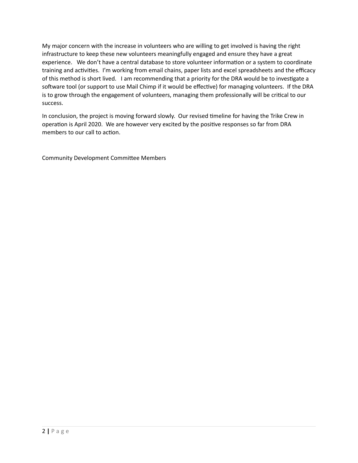My major concern with the increase in volunteers who are willing to get involved is having the right infrastructure to keep these new volunteers meaningfully engaged and ensure they have a great experience. We don't have a central database to store volunteer information or a system to coordinate training and activities. I'm working from email chains, paper lists and excel spreadsheets and the efficacy of this method is short lived. I am recommending that a priority for the DRA would be to investigate a software tool (or support to use Mail Chimp if it would be effective) for managing volunteers. If the DRA is to grow through the engagement of volunteers, managing them professionally will be critical to our success. 

In conclusion, the project is moving forward slowly. Our revised timeline for having the Trike Crew in operation is April 2020. We are however very excited by the positive responses so far from DRA members to our call to action.

Community Development Committee Members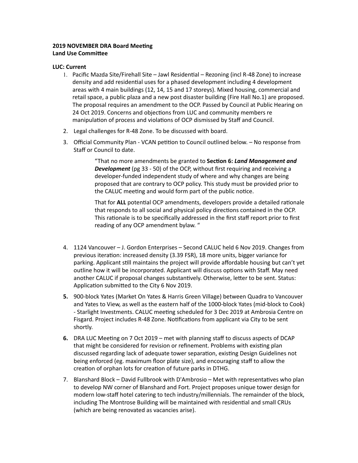### **2019 NOVEMBER DRA Board Meeting Land Use Committee**

#### **LUC: Current**

- 1. Pacific Mazda Site/Firehall Site Jawl Residential Rezoning (incl R-48 Zone) to increase density and add residential uses for a phased development including 4 development areas with 4 main buildings (12, 14, 15 and 17 storeys). Mixed housing, commercial and retail space, a public plaza and a new post disaster building (Fire Hall No.1) are proposed. The proposal requires an amendment to the OCP. Passed by Council at Public Hearing on 24 Oct 2019. Concerns and objections from LUC and community members re manipulation of process and violations of OCP dismissed by Staff and Council.
- 2. Legal challenges for R-48 Zone. To be discussed with board.
- 3. Official Community Plan VCAN petition to Council outlined below. No response from Staff or Council to date.

"That no more amendments be granted to Section 6: Land Management and **Development** (pg 33 - 50) of the OCP, without first requiring and receiving a developer-funded independent study of where and why changes are being proposed that are contrary to OCP policy. This study must be provided prior to the CALUC meeting and would form part of the public notice.

That for ALL potential OCP amendments, developers provide a detailed rationale that responds to all social and physical policy directions contained in the OCP. This rationale is to be specifically addressed in the first staff report prior to first reading of any OCP amendment bylaw. "

- 4. 1124 Vancouver J. Gordon Enterprises Second CALUC held 6 Nov 2019. Changes from previous iteration: increased density (3.39 FSR), 18 more units, bigger variance for parking. Applicant still maintains the project will provide affordable housing but can't yet outline how it will be incorporated. Applicant will discuss options with Staff. May need another CALUC if proposal changes substantively. Otherwise, letter to be sent. Status: Application submitted to the City 6 Nov 2019.
- **5.** 900-block Yates (Market On Yates & Harris Green Village) between Quadra to Vancouver and Yates to View, as well as the eastern half of the 1000-block Yates (mid-block to Cook) - Starlight Investments. CALUC meeting scheduled for 3 Dec 2019 at Ambrosia Centre on Fisgard. Project includes R-48 Zone. Notifications from applicant via City to be sent shortly.
- **6.** DRA LUC Meeting on 7 Oct 2019 met with planning staff to discuss aspects of DCAP that might be considered for revision or refinement. Problems with existing plan discussed regarding lack of adequate tower separation, existing Design Guidelines not being enforced (eg. maximum floor plate size), and encouraging staff to allow the creation of orphan lots for creation of future parks in DTHG.
- 7. Blanshard Block David Fullbrook with D'Ambrosio Met with representatives who plan to develop NW corner of Blanshard and Fort. Project proposes unique tower design for modern low-staff hotel catering to tech industry/millennials. The remainder of the block, including The Montrose Building will be maintained with residential and small CRUs (which are being renovated as vacancies arise).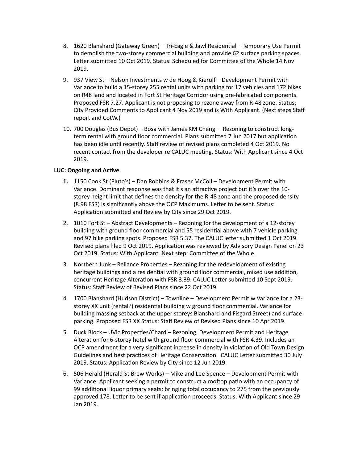- 8. 1620 Blanshard (Gateway Green) Tri-Eagle & Jawl Residential Temporary Use Permit to demolish the two-storey commercial building and provide 62 surface parking spaces. Letter submitted 10 Oct 2019. Status: Scheduled for Committee of the Whole 14 Nov 2019.
- 9. 937 View St Nelson Investments w de Hoog & Kierulf Development Permit with Variance to build a 15-storey 255 rental units with parking for 17 vehicles and 172 bikes on R48 land and located in Fort St Heritage Corridor using pre-fabricated components. Proposed FSR 7.27. Applicant is not proposing to rezone away from R-48 zone. Status: City Provided Comments to Applicant 4 Nov 2019 and is With Applicant. (Next steps Staff report and CotW.)
- 10. 700 Douglas (Bus Depot) Bosa with James KM Cheng  $-$  Rezoning to construct longterm rental with ground floor commercial. Plans submitted 7 Jun 2017 but application has been idle until recently. Staff review of revised plans completed 4 Oct 2019. No recent contact from the developer re CALUC meeting. Status: With Applicant since 4 Oct 2019.

### **LUC: Ongoing and Active**

- **1.** 1150 Cook St (Pluto's) Dan Robbins & Fraser McColl Development Permit with Variance. Dominant response was that it's an attractive project but it's over the 10storey height limit that defines the density for the R-48 zone and the proposed density (8.98 FSR) is significantly above the OCP Maximums. Letter to be sent. Status: Application submitted and Review by City since 29 Oct 2019.
- 2. 1010 Fort St Abstract Developments Rezoning for the development of a 12-storey building with ground floor commercial and 55 residential above with 7 vehicle parking and 97 bike parking spots. Proposed FSR 5.37. The CALUC letter submitted 1 Oct 2019. Revised plans filed 9 Oct 2019. Application was reviewed by Advisory Design Panel on 23 Oct 2019. Status: With Applicant. Next step: Committee of the Whole.
- 3. Northern Junk Reliance Properties Rezoning for the redevelopment of existing heritage buildings and a residential with ground floor commercial, mixed use addition, concurrent Heritage Alteration with FSR 3.39. CALUC Letter submitted 10 Sept 2019. Status: Staff Review of Revised Plans since 22 Oct 2019.
- 4. 1700 Blanshard (Hudson District) Townline Development Permit w Variance for a 23storey XX unit (rental?) residential building w ground floor commercial. Variance for building massing setback at the upper storeys Blanshard and Fisgard Street) and surface parking. Proposed FSR XX Status: Staff Review of Revised Plans since 10 Apr 2019.
- 5. Duck Block UVic Properties/Chard Rezoning, Development Permit and Heritage Alteration for 6-storey hotel with ground floor commercial with FSR 4.39. Includes an OCP amendment for a very significant increase in density in violation of Old Town Design Guidelines and best practices of Heritage Conservation. CALUC Letter submitted 30 July 2019. Status: Application Review by City since 12 Jun 2019.
- 6. 506 Herald (Herald St Brew Works) Mike and Lee Spence Development Permit with Variance: Applicant seeking a permit to construct a rooftop patio with an occupancy of 99 additional liquor primary seats; bringing total occupancy to 275 from the previously approved 178. Letter to be sent if application proceeds. Status: With Applicant since 29 Jan 2019.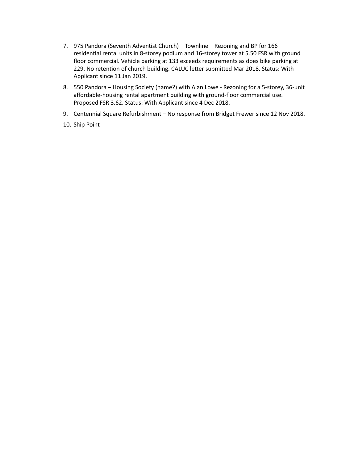- 7. 975 Pandora (Seventh Adventist Church) Townline Rezoning and BP for 166 residential rental units in 8-storey podium and 16-storey tower at 5.50 FSR with ground floor commercial. Vehicle parking at 133 exceeds requirements as does bike parking at 229. No retention of church building. CALUC letter submitted Mar 2018. Status: With Applicant since 11 Jan 2019.
- 8. 550 Pandora Housing Society (name?) with Alan Lowe Rezoning for a 5-storey, 36-unit affordable-housing rental apartment building with ground-floor commercial use. Proposed FSR 3.62. Status: With Applicant since 4 Dec 2018.
- 9. Centennial Square Refurbishment No response from Bridget Frewer since 12 Nov 2018.
- 10. Ship Point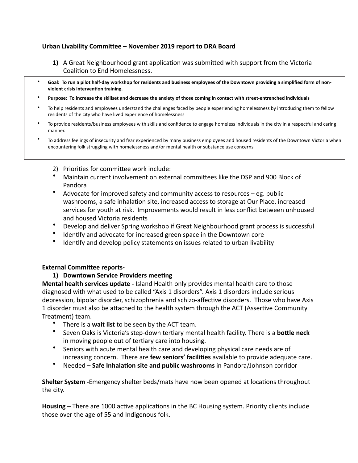# Urban Livability Committee – November 2019 report to DRA Board

- **1)** A Great Neighbourhood grant application was submitted with support from the Victoria Coalition to End Homelessness.
- Goal: To run a pilot half-day workshop for residents and business employees of the Downtown providing a simplified form of nonviolent crisis intervention training.
- Purpose: To increase the skillset and decrease the anxiety of those coming in contact with street-entrenched individuals
- To help residents and employees understand the challenges faced by people experiencing homelessness by introducing them to fellow residents of the city who have lived experience of homelessness
- To provide residents/business employees with skills and confidence to engage homeless individuals in the city in a respectful and caring manner.
- To address feelings of insecurity and fear experienced by many business employees and housed residents of the Downtown Victoria when encountering folk struggling with homelessness and/or mental health or substance use concerns.
	- 2) Priorities for committee work include:
	- Maintain current involvement on external committees like the DSP and 900 Block of Pandora
	- Advocate for improved safety and community access to resources  $-$  eg. public washrooms, a safe inhalation site, increased access to storage at Our Place, increased services for youth at risk. Improvements would result in less conflict between unhoused and housed Victoria residents
	- Develop and deliver Spring workshop if Great Neighbourhood grant process is successful
	- Identify and advocate for increased green space in the Downtown core
	- Identify and develop policy statements on issues related to urban livability

### **External Committee reports-**

### **1)** Downtown Service Providers meeting

**Mental health services update** - Island Health only provides mental health care to those diagnosed with what used to be called "Axis 1 disorders". Axis 1 disorders include serious depression, bipolar disorder, schizophrenia and schizo-affective disorders. Those who have Axis 1 disorder must also be attached to the health system through the ACT (Assertive Community Treatment) team.

- There is a wait list to be seen by the ACT team.
- Seven Oaks is Victoria's step-down tertiary mental health facility. There is a **bottle neck** in moving people out of tertiary care into housing.
- Seniors with acute mental health care and developing physical care needs are of increasing concern. There are **few seniors' facilities** available to provide adequate care.
- Needed Safe Inhalation site and public washrooms in Pandora/Johnson corridor

**Shelter System** -Emergency shelter beds/mats have now been opened at locations throughout the city.

**Housing** – There are 1000 active applications in the BC Housing system. Priority clients include those over the age of 55 and Indigenous folk.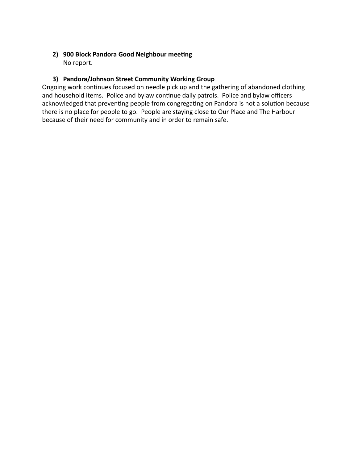# 2) 900 Block Pandora Good Neighbour meeting No report.

# **3) Pandora/Johnson Street Community Working Group**

Ongoing work continues focused on needle pick up and the gathering of abandoned clothing and household items. Police and bylaw continue daily patrols. Police and bylaw officers acknowledged that preventing people from congregating on Pandora is not a solution because there is no place for people to go. People are staying close to Our Place and The Harbour because of their need for community and in order to remain safe.